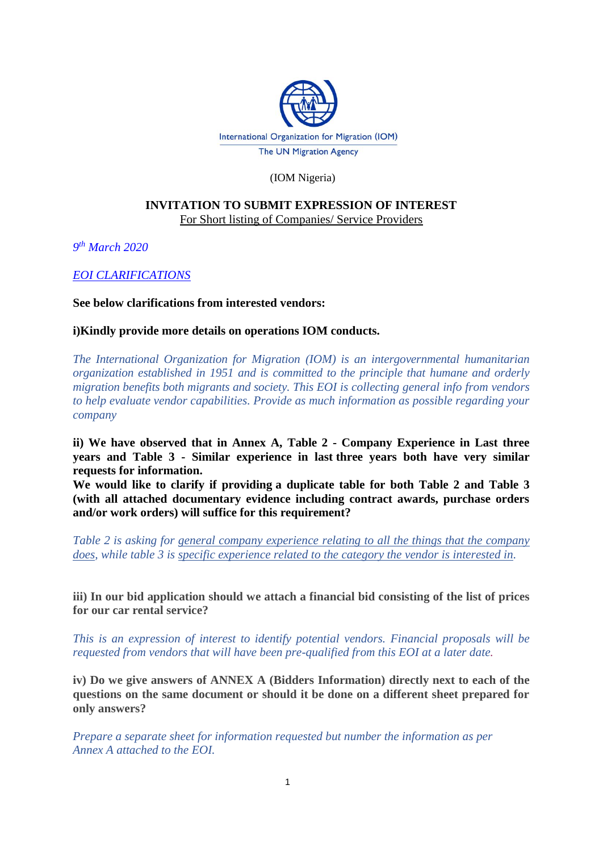

## (IOM Nigeria)

#### **INVITATION TO SUBMIT EXPRESSION OF INTEREST**  For Short listing of Companies/ Service Providers

*9 th March 2020*

*EOI CLARIFICATIONS*

#### **See below clarifications from interested vendors:**

## **i)Kindly provide more details on operations IOM conducts.**

*The International Organization for Migration (IOM) is an intergovernmental humanitarian organization established in 1951 and is committed to the principle that humane and orderly migration benefits both migrants and society. This EOI is collecting general info from vendors to help evaluate vendor capabilities. Provide as much information as possible regarding your company*

**ii) We have observed that in Annex A, Table 2 - Company Experience in Last three years and Table 3 - Similar experience in last three years both have very similar requests for information.**

**We would like to clarify if providing a duplicate table for both Table 2 and Table 3 (with all attached documentary evidence including contract awards, purchase orders and/or work orders) will suffice for this requirement?**

*Table 2 is asking for general company experience relating to all the things that the company does, while table 3 is specific experience related to the category the vendor is interested in.*

**iii) In our bid application should we attach a financial bid consisting of the list of prices for our car rental service?**

*This is an expression of interest to identify potential vendors. Financial proposals will be requested from vendors that will have been pre-qualified from this EOI at a later date.*

**iv) Do we give answers of ANNEX A (Bidders Information) directly next to each of the questions on the same document or should it be done on a different sheet prepared for only answers?**

*Prepare a separate sheet for information requested but number the information as per Annex A attached to the EOI.*